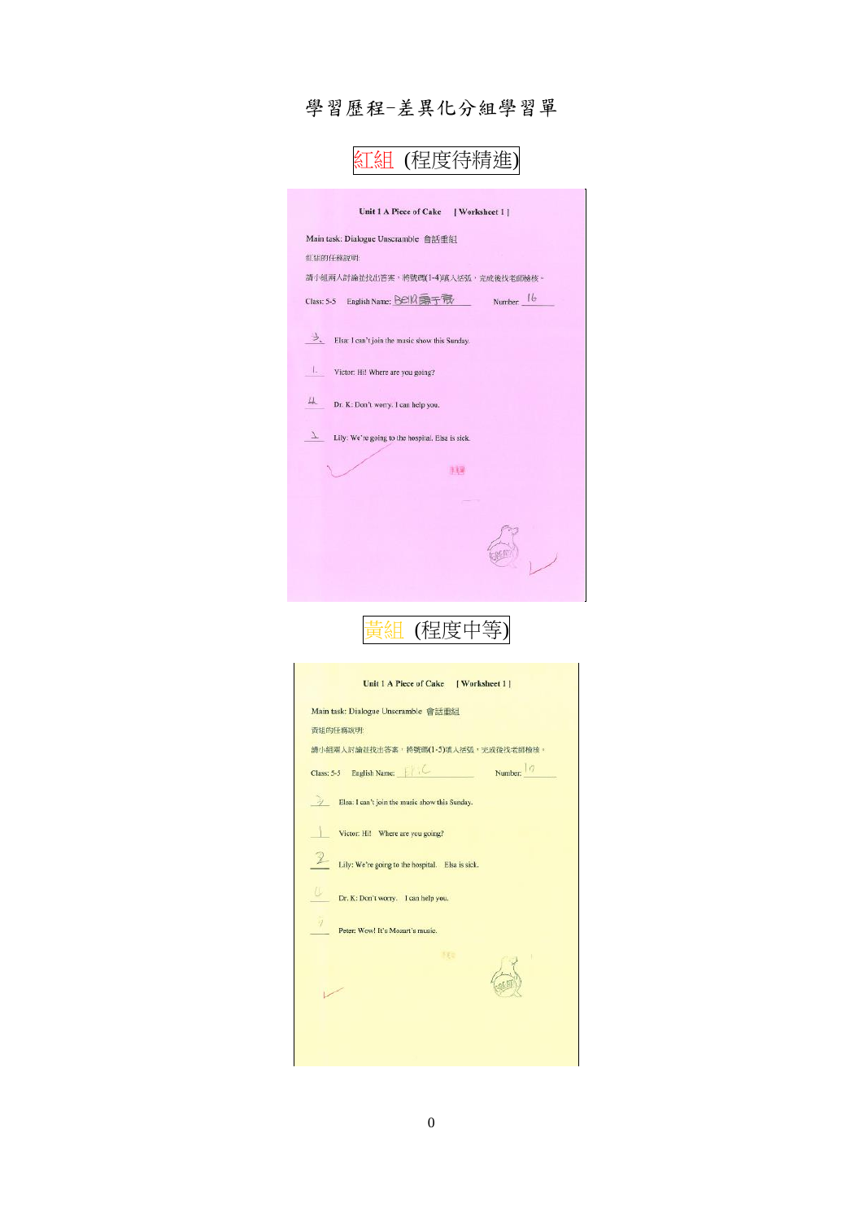## 學習歷程-差異化分組學習單

| 沮 (程度待精}                                              |  |
|-------------------------------------------------------|--|
| Unit 1 A Piece of Cake<br>  Worksheet 1 ]             |  |
| Main task: Dialogue Unscramble 會話重組                   |  |
| 红组的任務說明:                                              |  |
| 請小組兩人討論並找出答案,將號碼(1-4)填入括弧,完成後找老師檢核。                   |  |
| Number: 16<br>Class: 5-5 English Name: Bella 第5家      |  |
| う、<br>Elsa: I can't join the music show this Sunday.  |  |
| Victor: Hi! Where are you going?                      |  |
| 4<br>Dr. K: Don't worry. I can help you.              |  |
| T<br>Lily: We're going to the hospital. Elsa is sick. |  |
| 事活躍                                                   |  |
|                                                       |  |
|                                                       |  |
|                                                       |  |



| 黃組的任務說明:<br>請小組兩人討論並找出答案,將號碼(1-5)填入括弧,完成後找老師檢核。<br>Class: 5-5 English Name: $\left  \begin{array}{cc} \uparrow \end{array} \right $ . (2) Number: $\left  \begin{array}{cc} \circ \end{array} \right $<br>Elsa: I can't join the music show this Sunday.<br>Victor: Hi! Where are you going?<br>Lily: We're going to the hospital. Elsa is sick.<br>Dr. K: Don't worry. I can help you.<br>$\frac{1}{2}$<br>Peter: Wow! It's Mozart's music.<br>53 0 | Main task: Dialogue Unscramble 會話重組 |  |
|------------------------------------------------------------------------------------------------------------------------------------------------------------------------------------------------------------------------------------------------------------------------------------------------------------------------------------------------------------------------------------------------------------------------------------------------------|-------------------------------------|--|
|                                                                                                                                                                                                                                                                                                                                                                                                                                                      |                                     |  |
|                                                                                                                                                                                                                                                                                                                                                                                                                                                      |                                     |  |
|                                                                                                                                                                                                                                                                                                                                                                                                                                                      |                                     |  |
|                                                                                                                                                                                                                                                                                                                                                                                                                                                      |                                     |  |
|                                                                                                                                                                                                                                                                                                                                                                                                                                                      |                                     |  |
|                                                                                                                                                                                                                                                                                                                                                                                                                                                      |                                     |  |
|                                                                                                                                                                                                                                                                                                                                                                                                                                                      |                                     |  |
|                                                                                                                                                                                                                                                                                                                                                                                                                                                      |                                     |  |
|                                                                                                                                                                                                                                                                                                                                                                                                                                                      |                                     |  |
|                                                                                                                                                                                                                                                                                                                                                                                                                                                      |                                     |  |
|                                                                                                                                                                                                                                                                                                                                                                                                                                                      |                                     |  |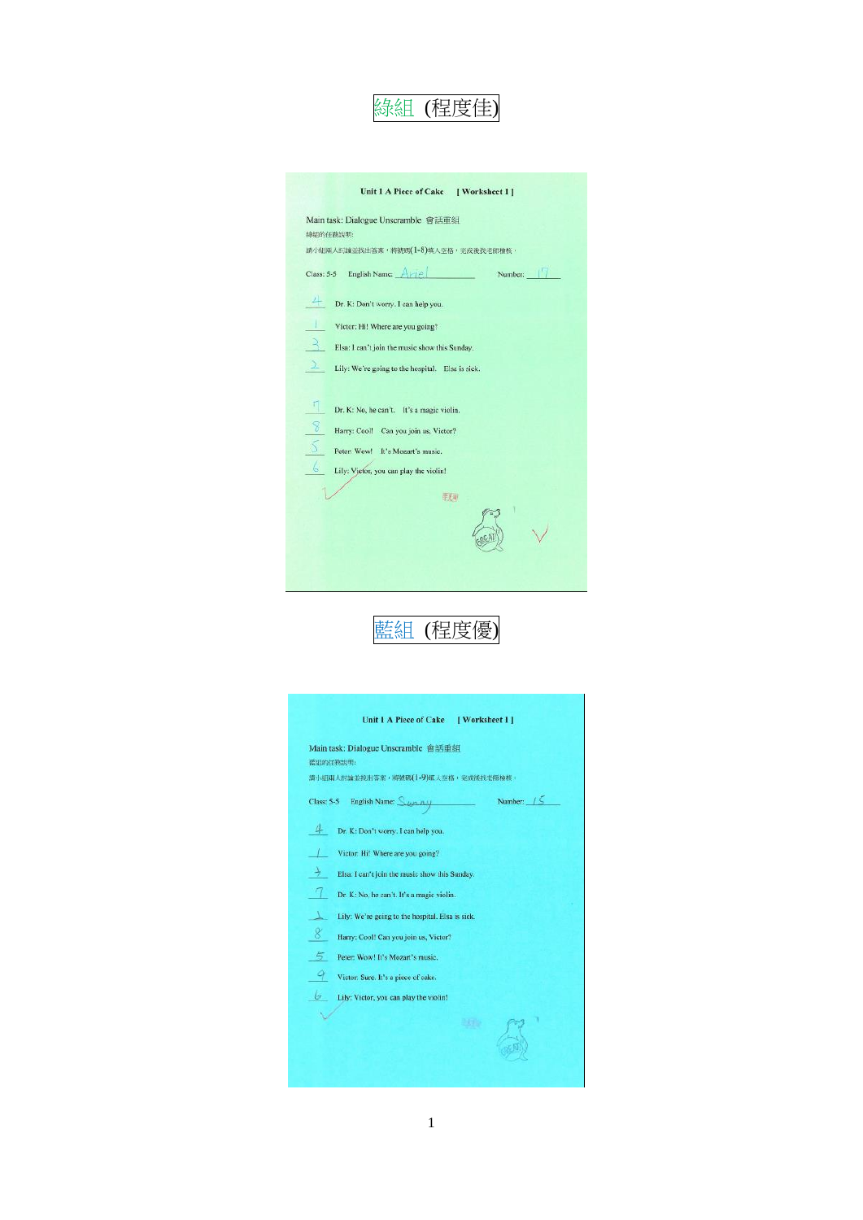

| Unit 1 A Piece of Cake [ Worksheet 1]                                                            |
|--------------------------------------------------------------------------------------------------|
| Main task: Dialogue Unscramble 會話重組<br>據組的任務說明:                                                  |
| 請小組兩人时論並找出答案, 將號碼(1-8)填入空格, 完成後找老師檢核,                                                            |
| Class: 5-5 English Name: $\left[\begin{array}{ccc} A \times 1 \cap C \end{array}\right]$ Number: |
| Dr. K: Don't worry. I can help you.                                                              |
| Victor: Hi! Where are you going?                                                                 |
| Р,<br>Elsa: I can't join the music show this Sunday.                                             |
| 2.<br>Lily: We're going to the hospital. Elsa is sick.                                           |
|                                                                                                  |
| Г<br>Dr. K: No, he can't. It's a magic violin.                                                   |
| $\mathcal{S}$<br>Harry: Cool! Can you join us, Victor?                                           |
| $\sqrt{2}$<br>Peter: Wow! It's Mozart's music.                                                   |
| 6<br>Lily: Vietor, you can play the violin!                                                      |
| 手程                                                                                               |
|                                                                                                  |
|                                                                                                  |



| Main task: Dialogue Unscramble 會話重組                         |              |
|-------------------------------------------------------------|--------------|
| 蓝组的任務說明:                                                    |              |
| 請小組兩人討論並找出答案, 將號碼(1-9)填入空格, 完成後找老師檢核,                       |              |
| Class: 5-5 English Name: $\mathcal{L}_{UCD}$ $\mathcal{L}U$ | Number: $/5$ |
| Dr. K: Don't worry. I can help you.                         |              |
| Victor: Hi! Where are you going?                            |              |
| Elsa: I can't join the music show this Sunday.              |              |
| Ч<br>Dr. K: No, he can't. It's a magic violin.              |              |
| Lily: We're going to the hospital. Elsa is sick.            |              |
| 8<br>Harry: Cool! Can you join us, Victor?                  |              |
| 5<br>Peter: Wow! It's Mozart's music.                       |              |
| 9<br>Victor: Sure. It's a piece of cake.                    |              |
| 6<br>Lily: Victor, you can play the violin!                 |              |
|                                                             |              |
|                                                             |              |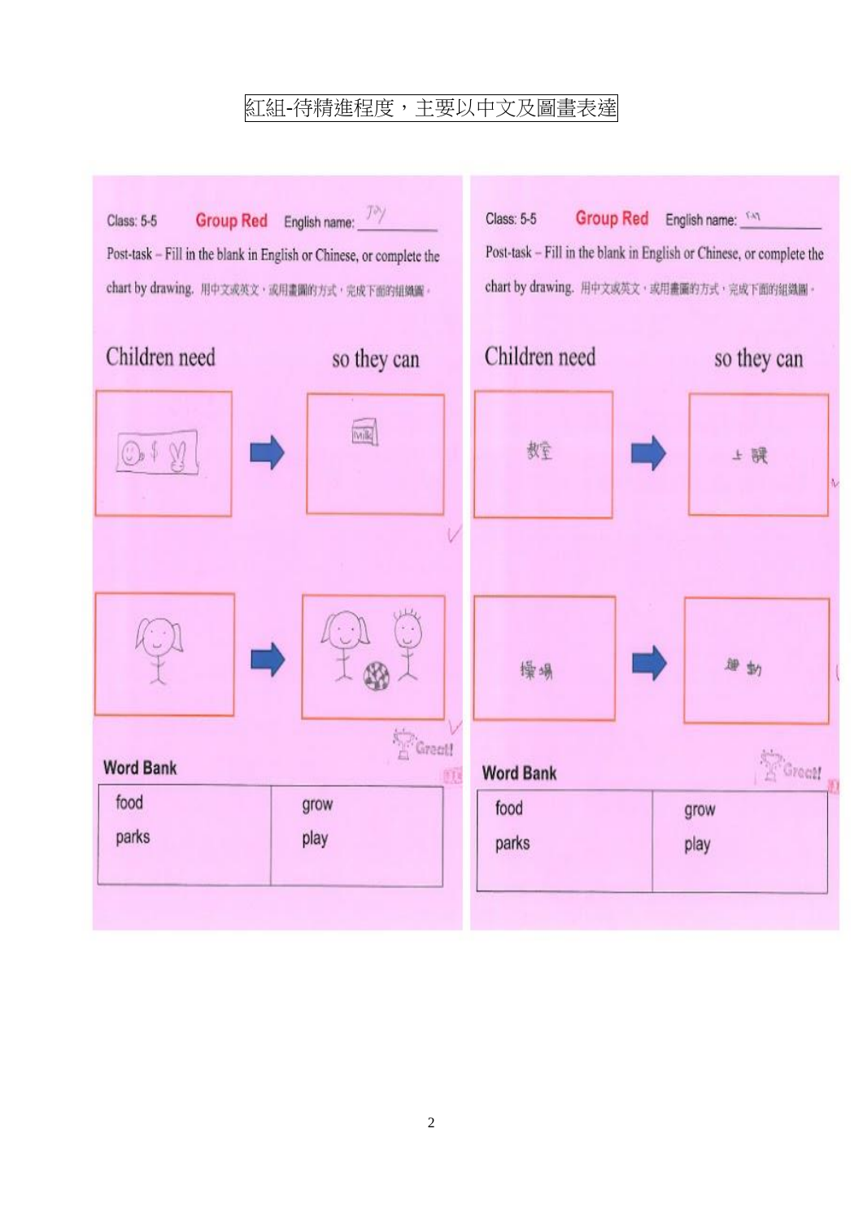## 紅組-待精進程度,主要以中文及圖畫表達

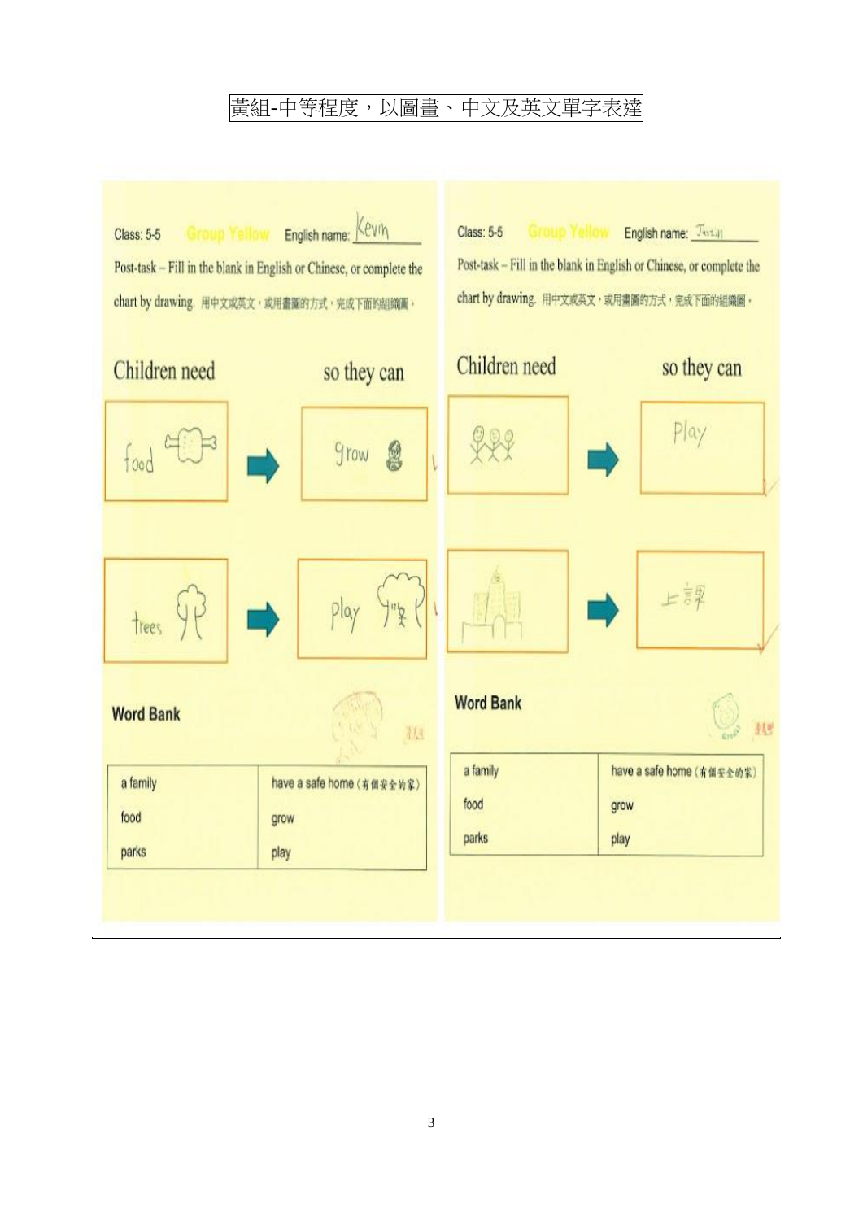### 黃組-中等程度,以圖畫、中文及英文單字表達

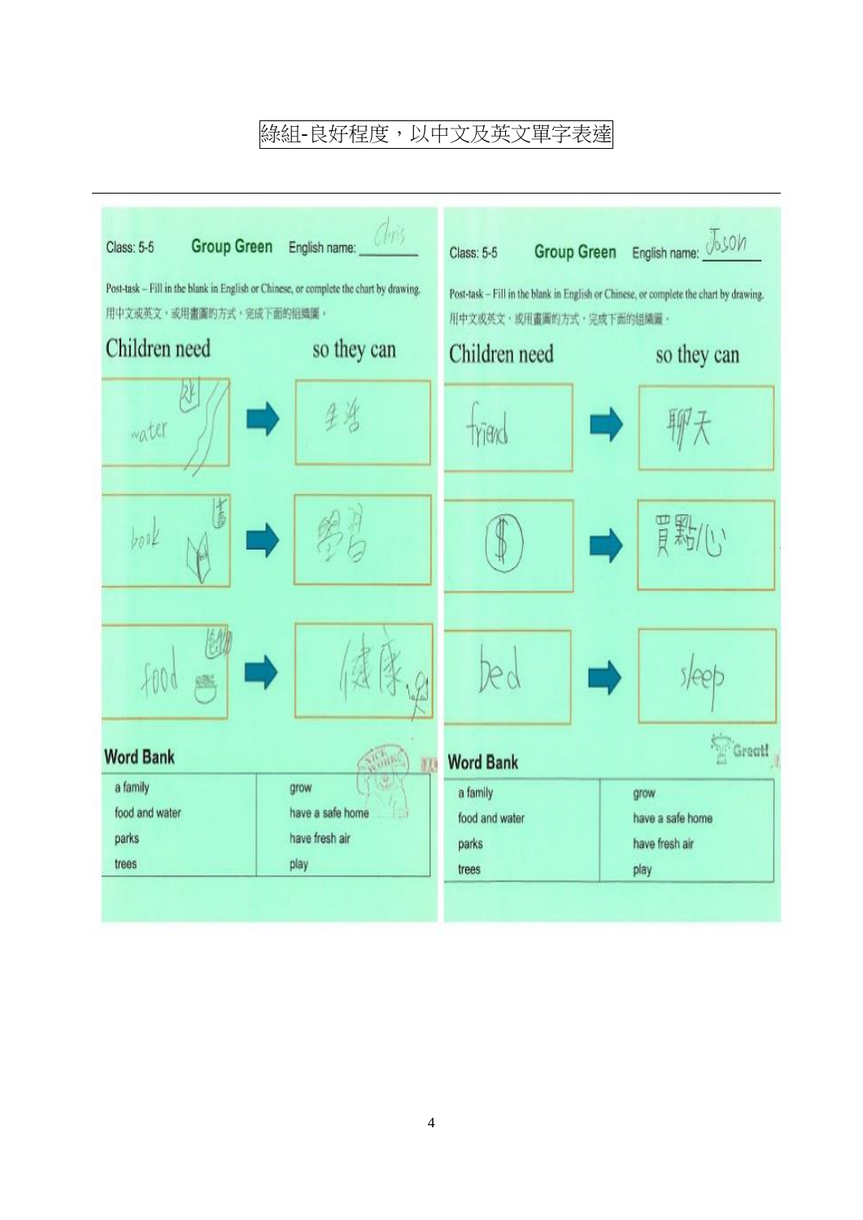## 綠組-良好程度,以中文及英文單字表達

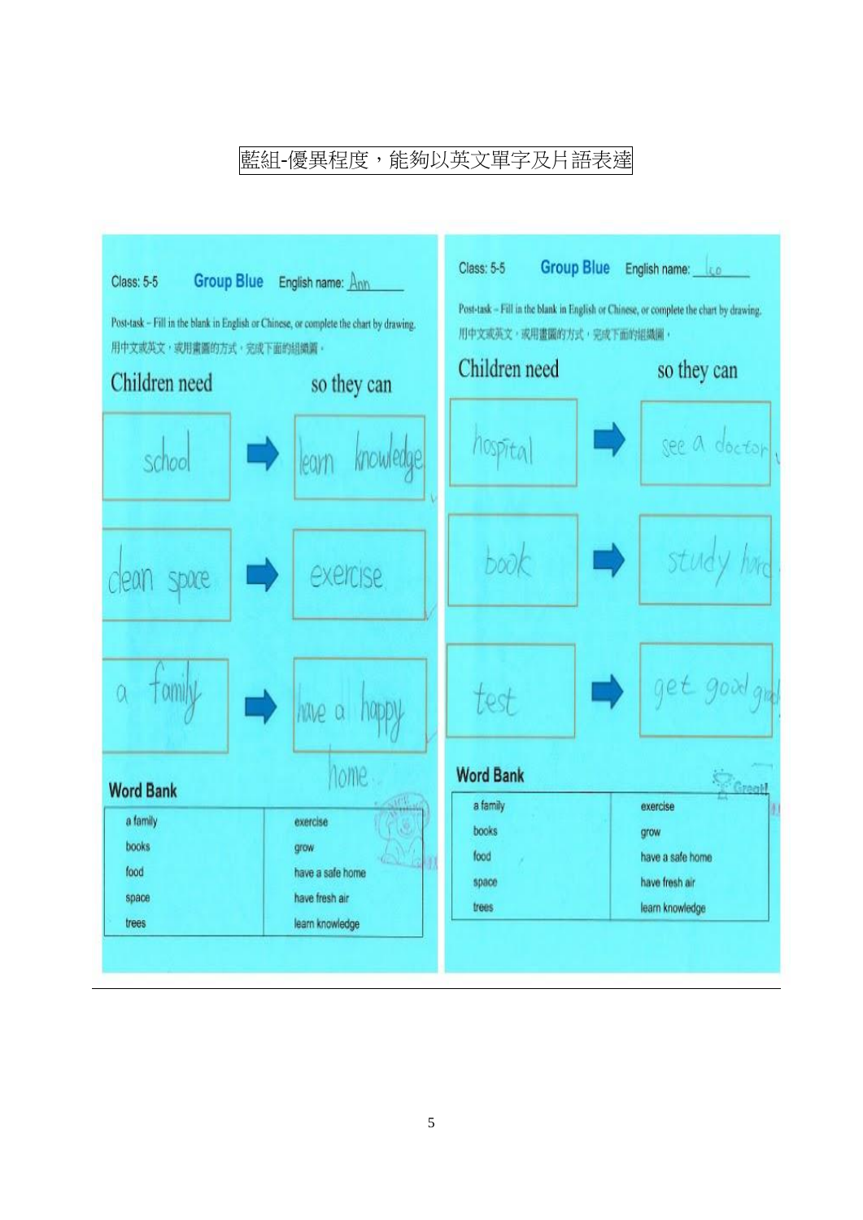## 藍組-優異程度,能夠以英文單字及片語表達

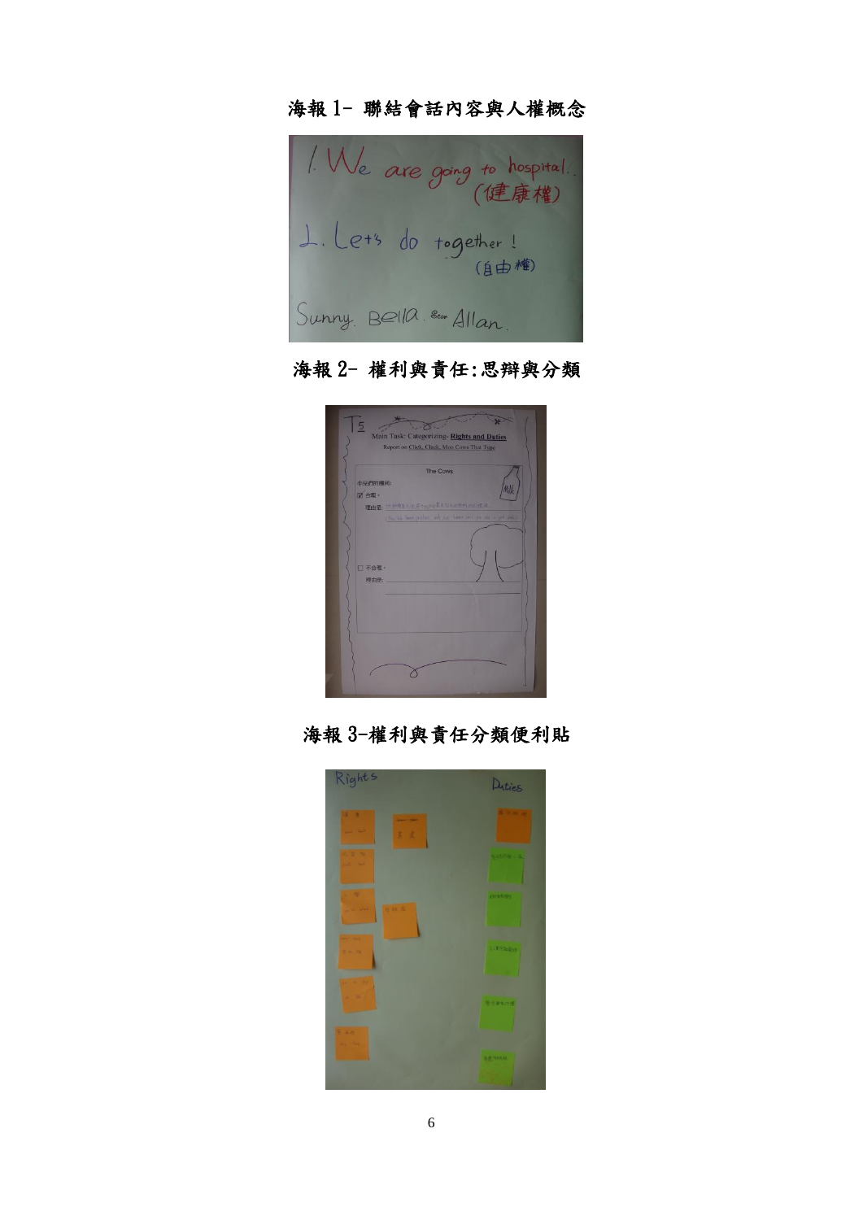### 海報 1- 聯結會話內容與人權概念



## 海報 2- 權利與責任:思辯與分類



### 海報 3-權利與責任分類便利貼

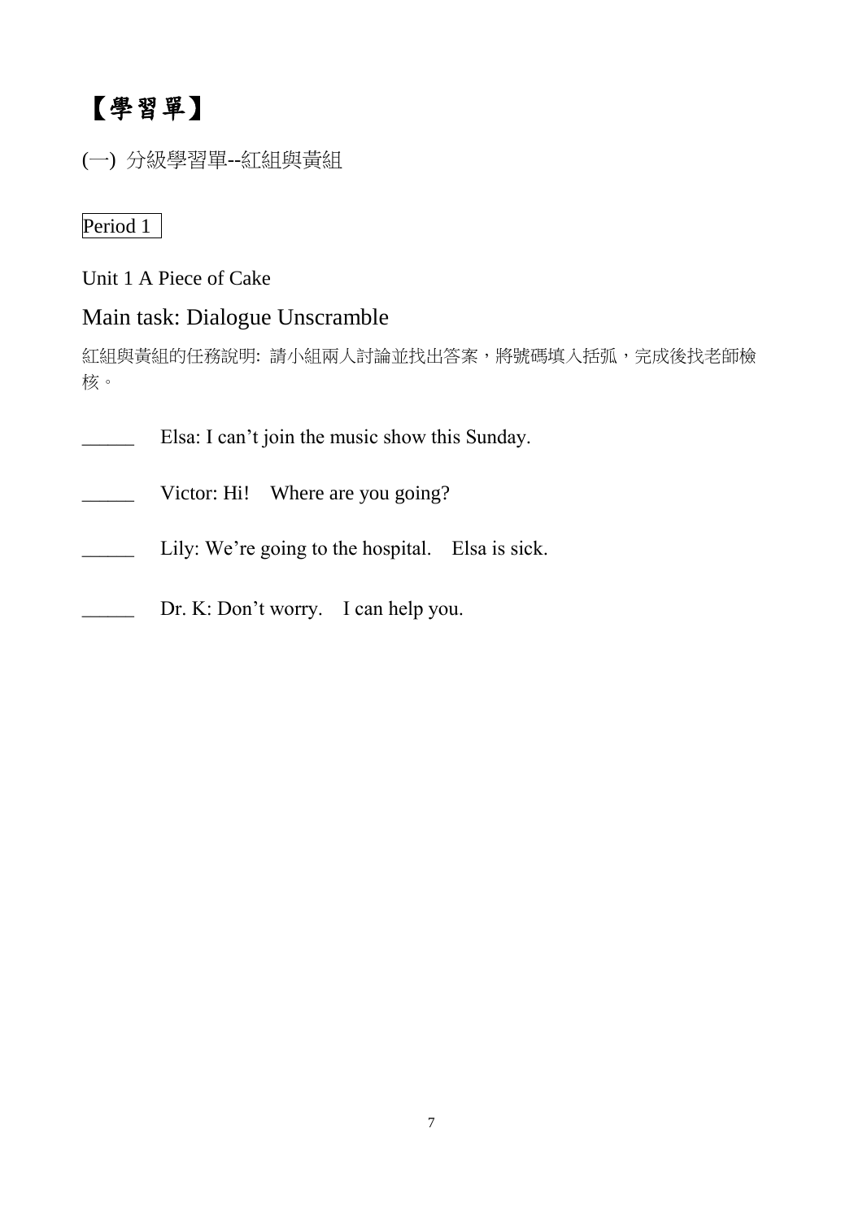# 【學習單】

(一) 分級學習單--紅組與黃組

### Period 1

Unit 1 A Piece of Cake

### Main task: Dialogue Unscramble

紅組與黃組的任務說明: 請小組兩人討論並找出答案,將號碼填入括弧,完成後找老師檢 核。

Elsa: I can't join the music show this Sunday. \_\_\_\_\_\_ Victor: Hi! Where are you going? Lily: We're going to the hospital. Elsa is sick. \_\_\_\_\_\_ Dr. K: Don't worry. I can help you.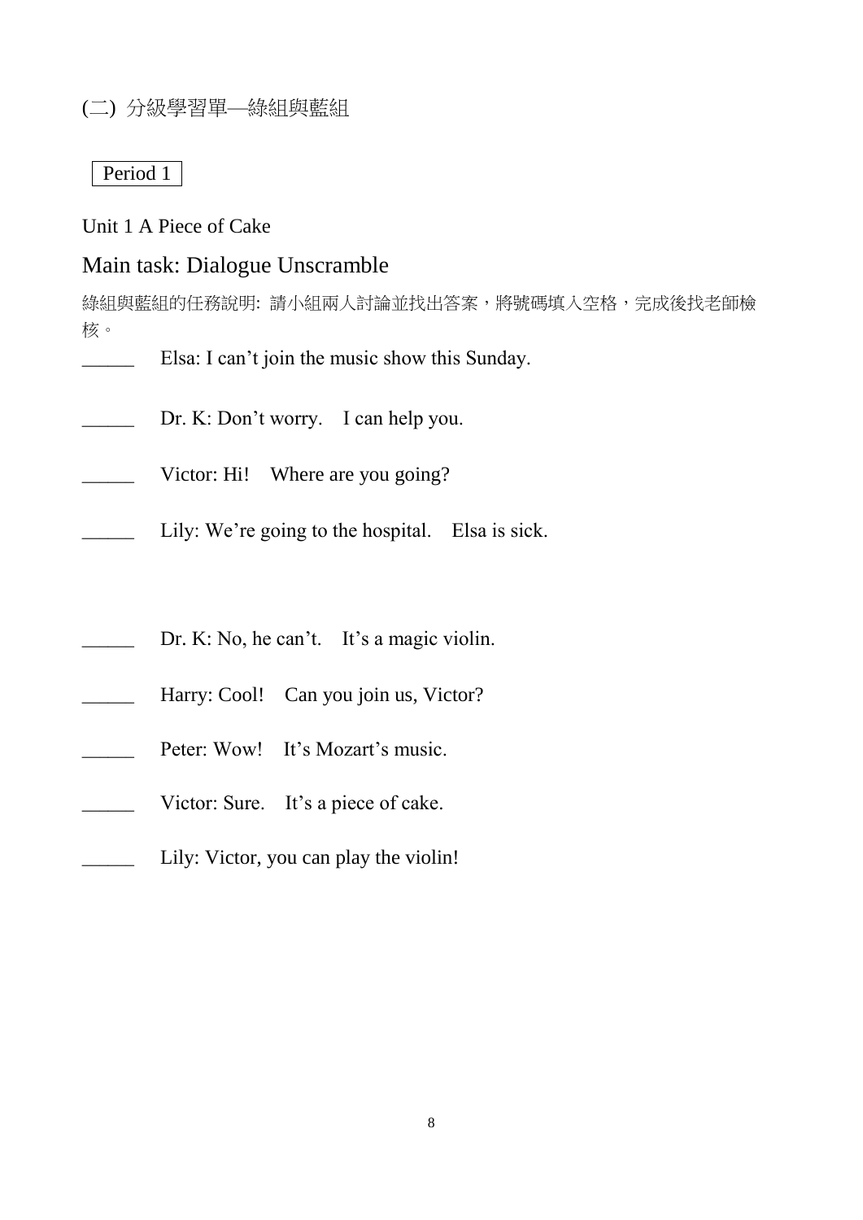### (二) 分級學習單—綠組與藍組

#### Period 1

Unit 1 A Piece of Cake

### Main task: Dialogue Unscramble

綠組與藍組的任務說明: 請小組兩人討論並找出答案,將號碼填入空格,完成後找老師檢 核。

- Elsa: I can't join the music show this Sunday.
- Dr. K: Don't worry. I can help you.
- Victor: Hi! Where are you going?
- Lily: We're going to the hospital. Elsa is sick.
- Dr. K: No, he can't. It's a magic violin.
- Harry: Cool! Can you join us, Victor?
- Peter: Wow! It's Mozart's music.
- Victor: Sure. It's a piece of cake.
- Lily: Victor, you can play the violin!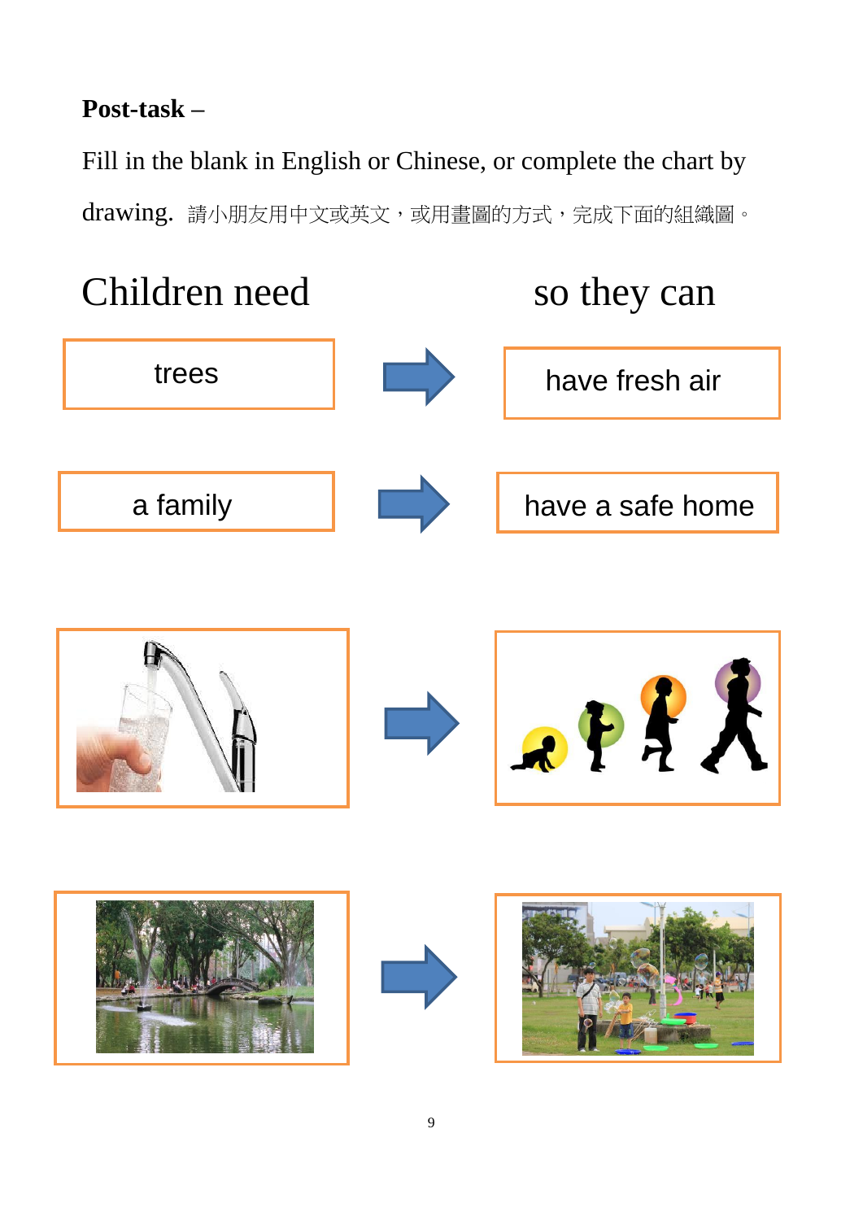## **Post-task –**

Fill in the blank in English or Chinese, or complete the chart by drawing. 請小朋友用中文或英文,或用畫圖的方式,完成下面的組織圖。

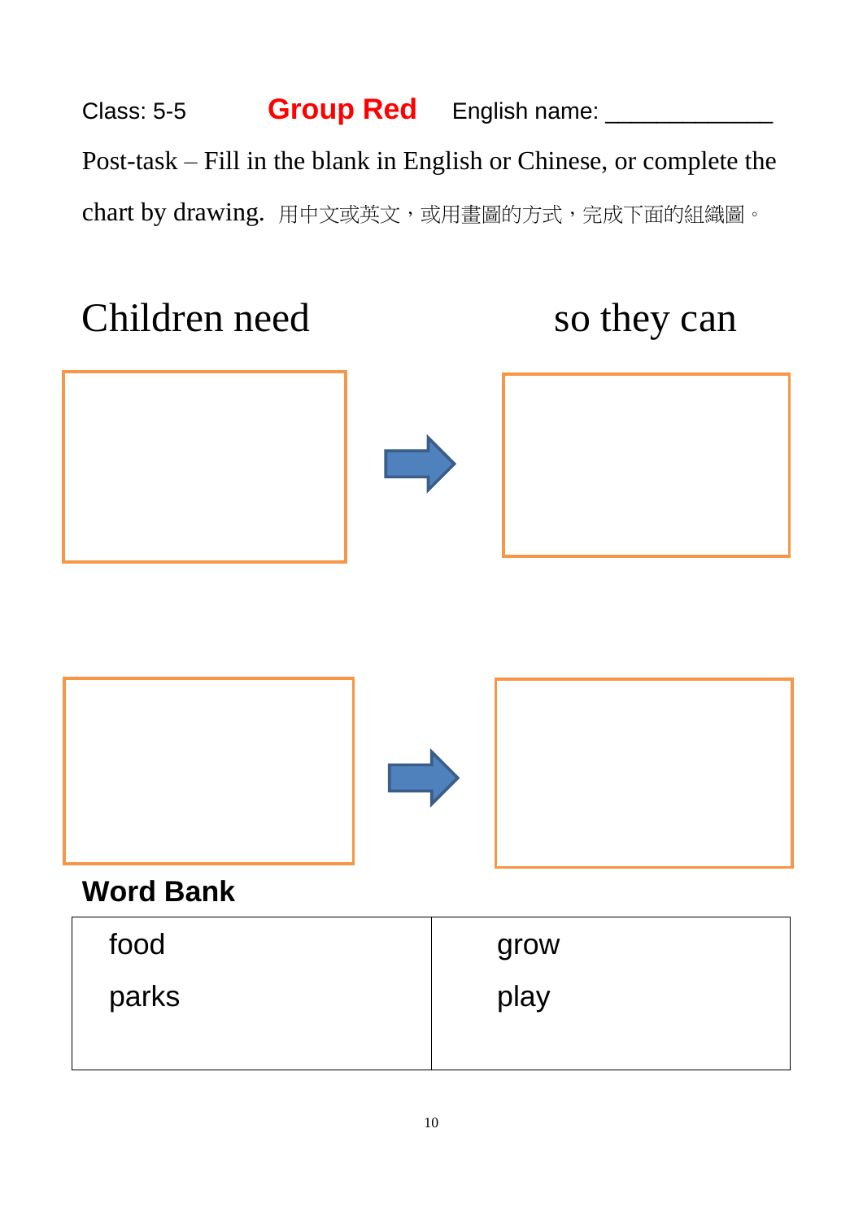# Class: 5-5 **Group Red** English name: \_\_\_\_\_\_\_\_\_\_\_\_\_\_ Post-task – Fill in the blank in English or Chinese, or complete the chart by drawing. 用中文或英文,或用畫圖的方式,完成下面的組織圖。

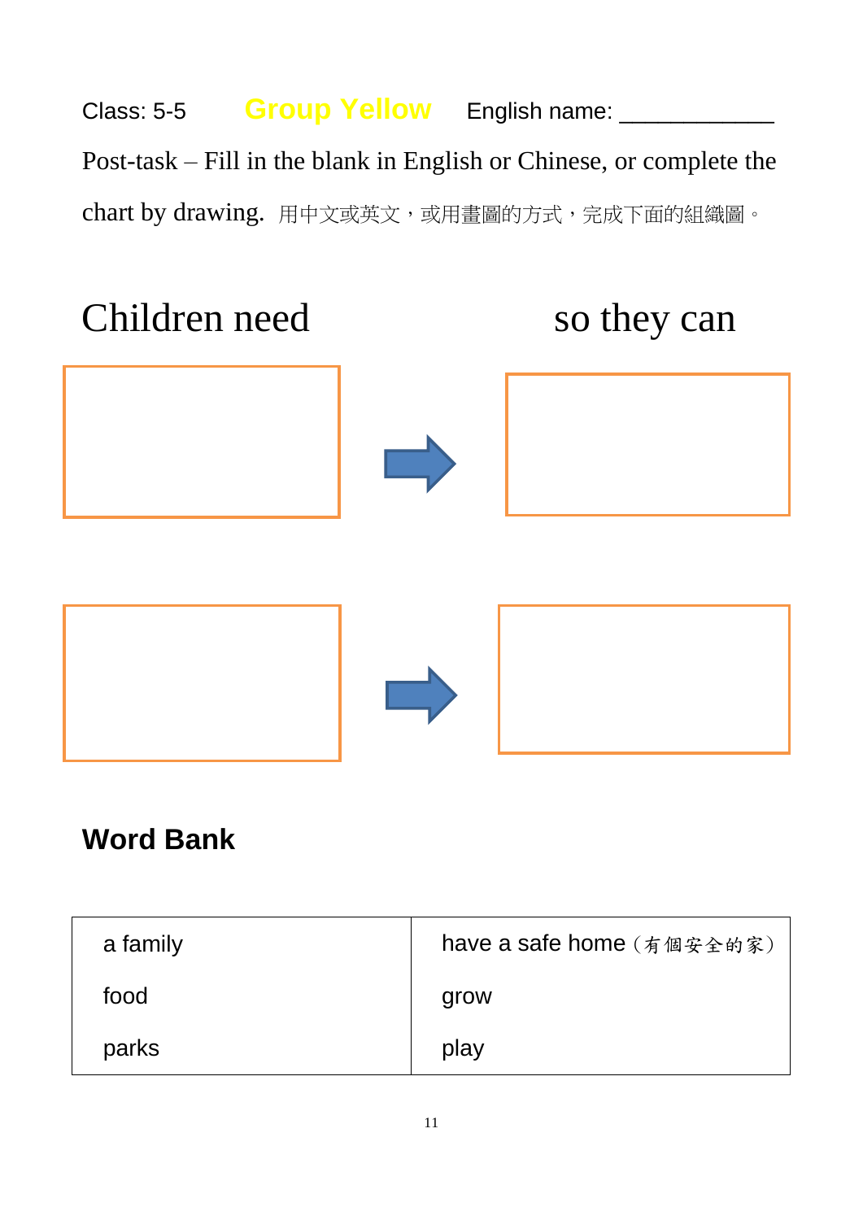# Class: 5-5 **Group Yellow** English name: \_\_\_\_\_\_\_\_\_\_\_\_\_ Post-task – Fill in the blank in English or Chinese, or complete the chart by drawing. 用中文或英文,或用畫圖的方式,完成下面的組織圖。



# **Word Bank**

| a family | have a safe home (有個安全的家) |
|----------|---------------------------|
| food     | grow                      |
| parks    | play                      |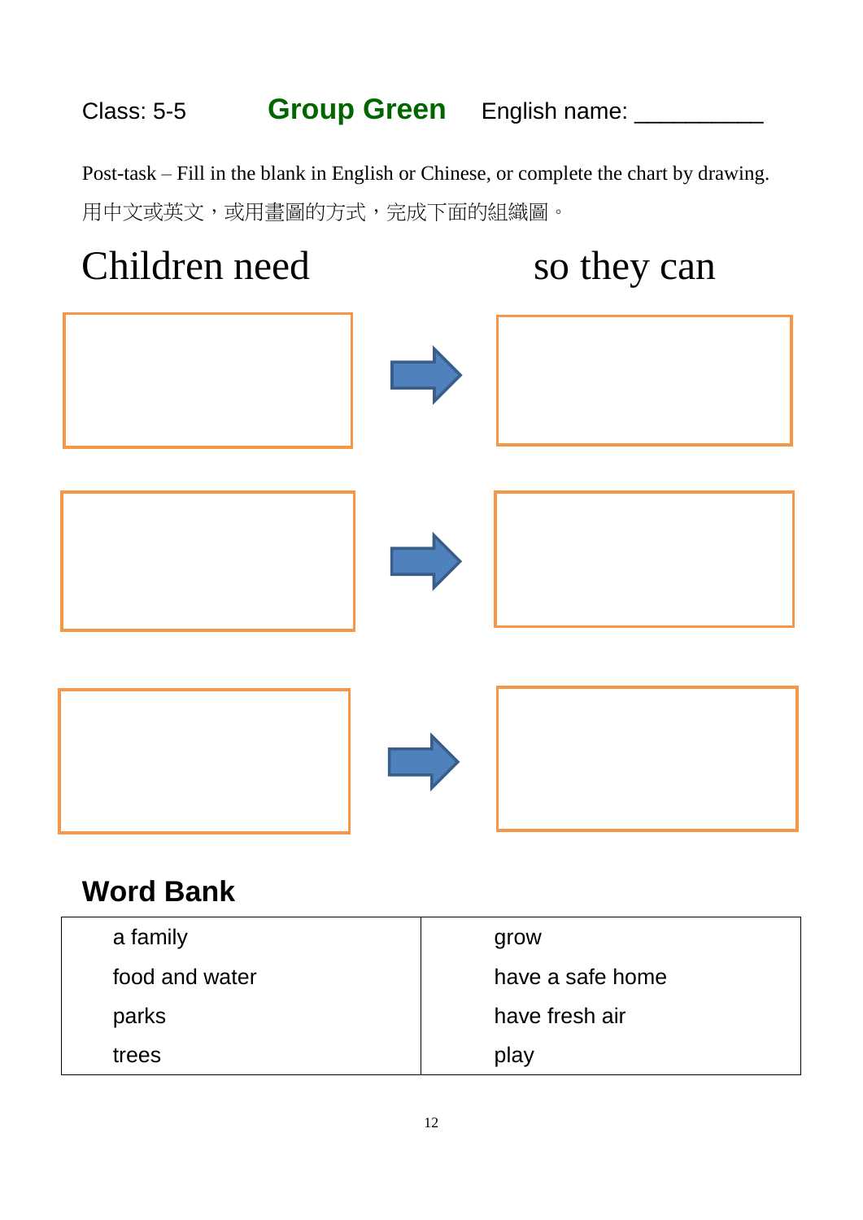# Class: 5-5 **Group Green** English name: \_\_\_\_\_\_\_\_\_\_

Post-task – Fill in the blank in English or Chinese, or complete the chart by drawing. 用中文或英文,或用畫圖的方式,完成下面的組織圖。



# **Word Bank**

| a family       | grow             |
|----------------|------------------|
| food and water | have a safe home |
| parks          | have fresh air   |
| trees          | play             |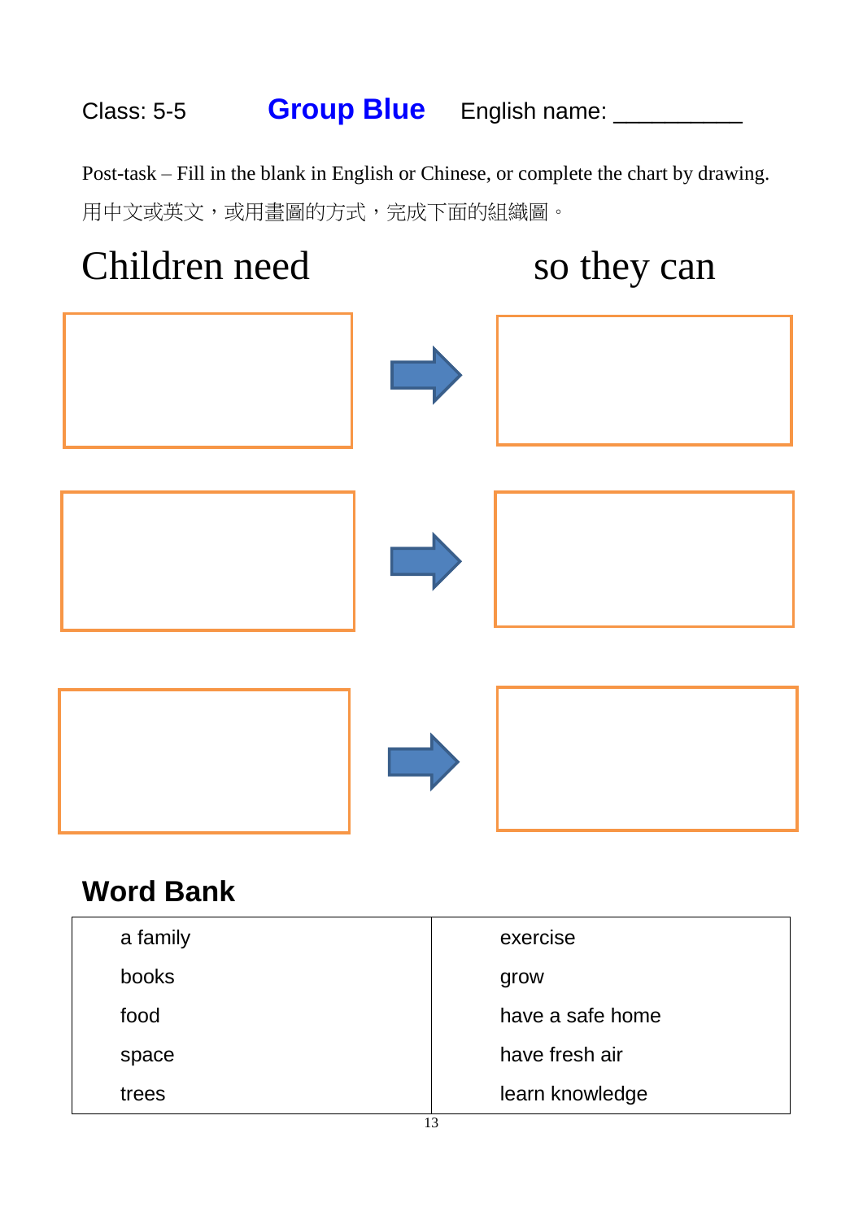# Class: 5-5 **Group Blue** English name: \_\_\_\_\_\_\_\_\_\_

Post-task – Fill in the blank in English or Chinese, or complete the chart by drawing. 用中文或英文,或用畫圖的方式,完成下面的組織圖。



# **Word Bank**

| a family | exercise         |
|----------|------------------|
| books    | grow             |
| food     | have a safe home |
| space    | have fresh air   |
| trees    | learn knowledge  |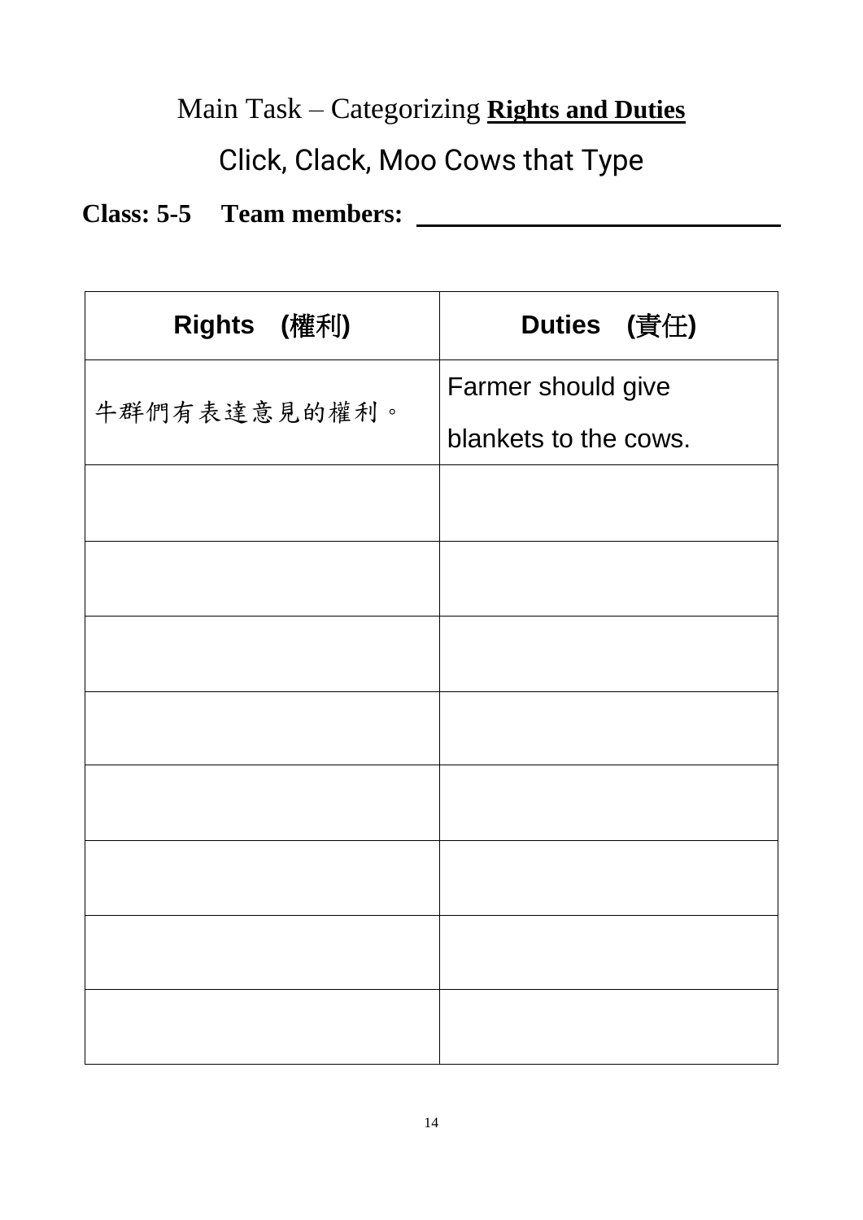# Main Task – Categorizing **Rights and Duties**

# Click, Clack, Moo Cows that Type

# **Class: 5-5 Team members:**

| Rights (權利)  | Duties (責任)           |
|--------------|-----------------------|
|              | Farmer should give    |
| 牛群們有表達意見的權利。 | blankets to the cows. |
|              |                       |
|              |                       |
|              |                       |
|              |                       |
|              |                       |
|              |                       |
|              |                       |
|              |                       |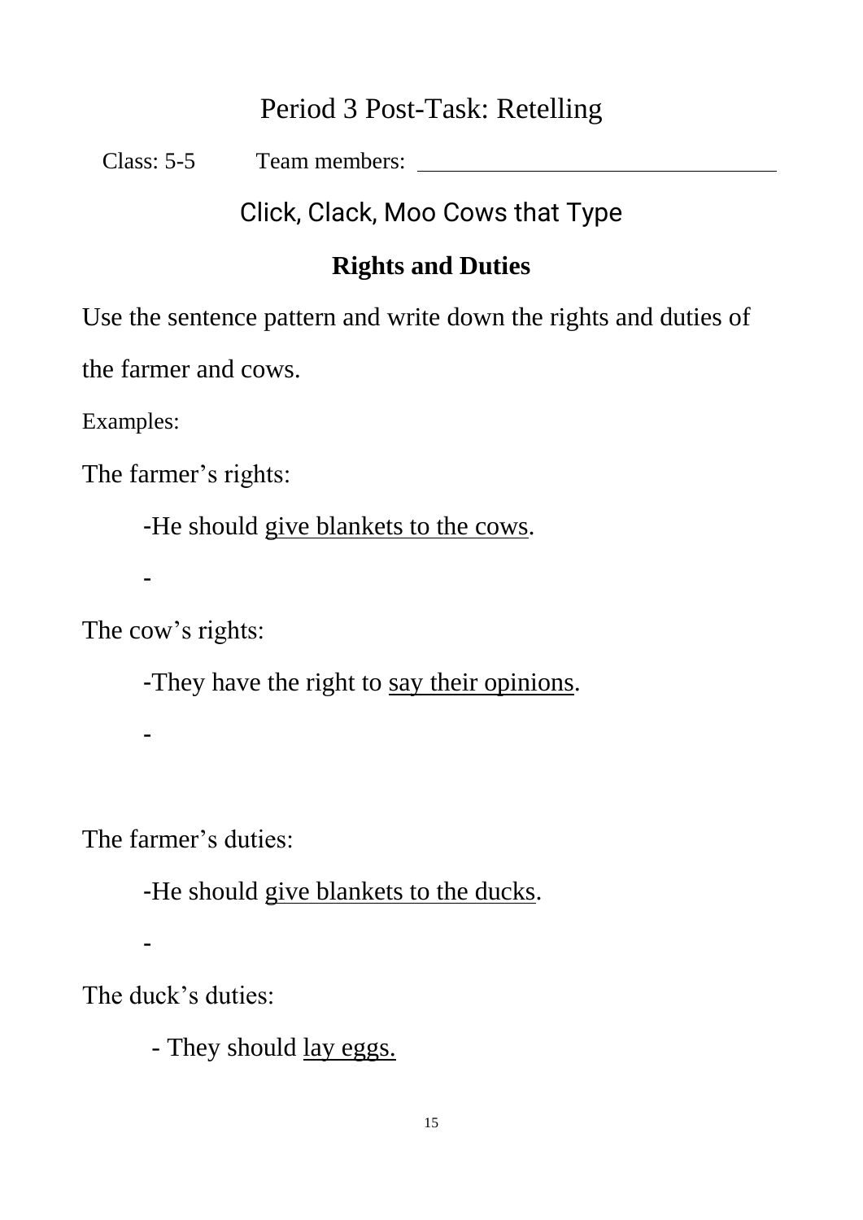## Period 3 Post-Task: Retelling

Class: 5-5 Team members:

Click, Clack, Moo Cows that Type

## **Rights and Duties**

Use the sentence pattern and write down the rights and duties of

the farmer and cows.

Examples:

The farmer's rights:

-He should give blankets to the cows.

-

-

The cow's rights:

-They have the right to say their opinions.

The farmer's duties:

-He should give blankets to the ducks.

-

The duck's duties:

- They should <u>lay eggs.</u>